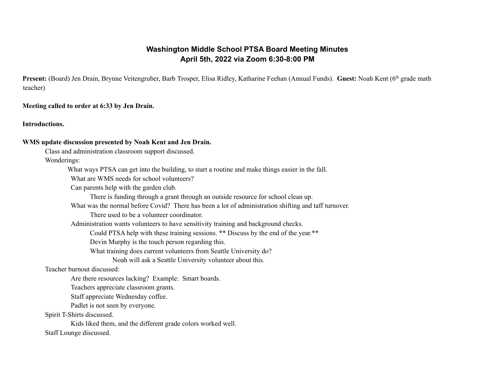# **Washington Middle School PTSA Board Meeting Minutes April 5th, 2022 via Zoom 6:30-8:00 PM**

Present: (Board) Jen Drain, Brynne Veitengruber, Barb Trosper, Elisa Ridley, Katharine Feehan (Annual Funds). Guest: Noah Kent (6<sup>th</sup> grade math teacher)

**Meeting called to order at 6:33 by Jen Drain.**

**Introductions.**

#### **WMS update discussion presented by Noah Kent and Jen Drain.**

Class and administration classroom support discussed.

Wonderings:

What ways PTSA can get into the building, to start a routine and make things easier in the fall.

What are WMS needs for school volunteers?

Can parents help with the garden club.

There is funding through a grant through an outside resource for school clean up.

What was the normal before Covid? There has been a lot of administration shifting and taff turnover.

There used to be a volunteer coordinator.

Administration wants volunteers to have sensitivity training and background checks.

Could PTSA help with these training sessions. \*\* Discuss by the end of the year.\*\*

Devin Murphy is the touch person regarding this.

What training does current volunteers from Seattle University do?

Noah will ask a Seattle University volunteer about this.

Teacher burnout discussed:

Are there resources lacking? Example: Smart boards.

Teachers appreciate classroom grants.

Staff appreciate Wednesday coffee.

Padlet is not seen by everyone.

Spirit T-Shirts discussed.

Kids liked them, and the different grade colors worked well. Staff Lounge discussed.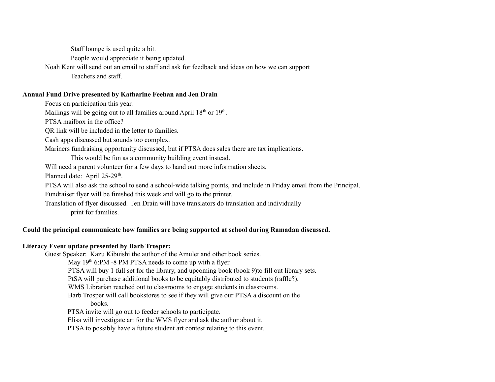Staff lounge is used quite a bit.

People would appreciate it being updated.

Noah Kent will send out an email to staff and ask for feedback and ideas on how we can support Teachers and staff.

#### **Annual Fund Drive presented by Katharine Feehan and Jen Drain**

Focus on participation this year.

Mailings will be going out to all families around April  $18<sup>th</sup>$  or  $19<sup>th</sup>$ .

PTSA mailbox in the office?

QR link will be included in the letter to families.

Cash apps discussed but sounds too complex.

Mariners fundraising opportunity discussed, but if PTSA does sales there are tax implications.

This would be fun as a community building event instead.

Will need a parent volunteer for a few days to hand out more information sheets.

Planned date: April 25-29<sup>th</sup>.

PTSA will also ask the school to send a school-wide talking points, and include in Friday email from the Principal.

Fundraiser flyer will be finished this week and will go to the printer.

Translation of flyer discussed. Jen Drain will have translators do translation and individually print for families.

## **Could the principal communicate how families are being supported at school during Ramadan discussed.**

### **Literacy Event update presented by Barb Trosper:**

Guest Speaker: Kazu Kibuishi the author of the Amulet and other book series. May 19<sup>th</sup> 6:PM -8 PM PTSA needs to come up with a flyer. PTSA will buy 1 full set for the library, and upcoming book (book 9)to fill out library sets. PtSA will purchase additional books to be equitably distributed to students (raffle?). WMS Librarian reached out to classrooms to engage students in classrooms. Barb Trosper will call bookstores to see if they will give our PTSA a discount on the books. PTSA invite will go out to feeder schools to participate. Elisa will investigate art for the WMS flyer and ask the author about it.

PTSA to possibly have a future student art contest relating to this event.